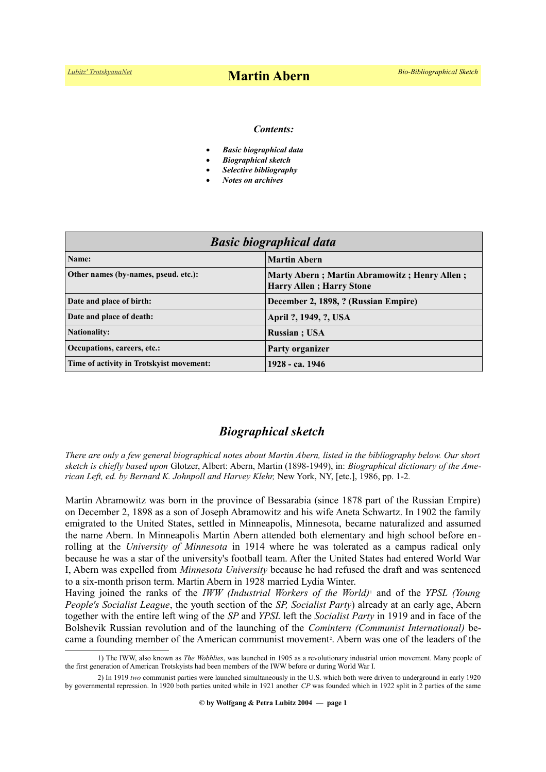#### *Contents:*

- *Basic biographical data*
- *Biographical sketch*
- *Selective bibliography*
- *Notes on archives*

| <b>Basic biographical data</b>           |                                                                                  |
|------------------------------------------|----------------------------------------------------------------------------------|
| Name:                                    | <b>Martin Abern</b>                                                              |
| Other names (by-names, pseud. etc.):     | Marty Abern; Martin Abramowitz; Henry Allen;<br><b>Harry Allen</b> ; Harry Stone |
| Date and place of birth:                 | December 2, 1898, ? (Russian Empire)                                             |
| Date and place of death:                 | April ?, 1949, ?, USA                                                            |
| <b>Nationality:</b>                      | <b>Russian</b> : USA                                                             |
| Occupations, careers, etc.:              | Party organizer                                                                  |
| Time of activity in Trotskyist movement: | 1928 - ca. 1946                                                                  |

## *Biographical sketch*

*There are only a few general biographical notes about Martin Abern, listed in the bibliography below. Our short sketch is chiefly based upon* Glotzer, Albert: Abern, Martin (1898-1949), in: *Biographical dictionary of the American Left, ed. by Bernard K. Johnpoll and Harvey Klehr,* New York, NY, [etc.], 1986, pp. 1-2*.*

Martin Abramowitz was born in the province of Bessarabia (since 1878 part of the Russian Empire) on December 2, 1898 as a son of Joseph Abramowitz and his wife Aneta Schwartz. In 1902 the family emigrated to the United States, settled in Minneapolis, Minnesota, became naturalized and assumed the name Abern. In Minneapolis Martin Abern attended both elementary and high school before enrolling at the *University of Minnesota* in 1914 where he was tolerated as a campus radical only because he was a star of the university's football team. After the United States had entered World War I, Abern was expelled from *Minnesota University* because he had refused the draft and was sentenced to a six-month prison term. Martin Abern in 1928 married Lydia Winter.

Having joined the ranks of the *IWW (Industrial Workers of the World)*[1](#page-0-0) and of the *YPSL (Young People's Socialist League*, the youth section of the *SP, Socialist Party*) already at an early age, Abern together with the entire left wing of the *SP* and *YPSL* left the *Socialist Party* in 1919 and in face of the Bolshevik Russian revolution and of the launching of the *Comintern (Communist International)* be-came a founding member of the American communist movement<sup>[2](#page-0-1)</sup>. Abern was one of the leaders of the

<span id="page-0-0"></span><sup>1)</sup> The IWW, also known as *The Wobblies*, was launched in 1905 as a revolutionary industrial union movement. Many people of the first generation of American Trotskyists had been members of the IWW before or during World War I.

<span id="page-0-1"></span><sup>2)</sup> In 1919 *two* communist parties were launched simultaneously in the U.S. which both were driven to underground in early 1920 by governmental repression. In 1920 both parties united while in 1921 another *CP* was founded which in 1922 split in 2 parties of the same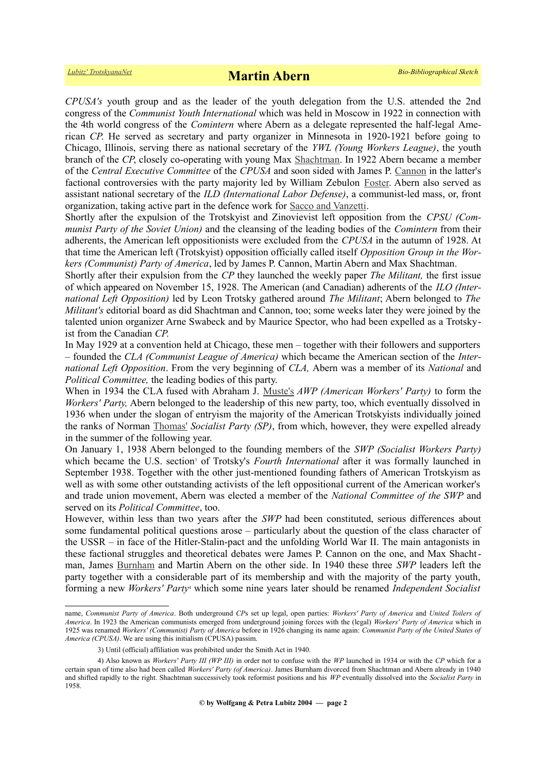*CPUSA's* youth group and as the leader of the youth delegation from the U.S. attended the 2nd congress of the *Communist Youth International* which was held in Moscow in 1922 in connection with the 4th world congress of the *Comintern* where Abern as a delegate represented the half-legal American *CP*. He served as secretary and party organizer in Minnesota in 1920-1921 before going to Chicago, Illinois, serving there as national secretary of the *YWL (Young Workers League)*, the youth branch of the *CP*, closely co-operating with young Max [Shachtman.](https://www.trotskyana.net/Trotskyists/Bio-Bibliographies/bio-bibl_shachtman.pdf) In 1922 Abern became a member of the *Central Executive Committee* of the *CPUSA* and soon sided with James P. [Cannon](https://www.trotskyana.net/Trotskyists/Bio-Bibliographies/bio-bibl_cannon.pdf) in the latter's factional controversies with the party majority led by William Zebulon [Foster.](https://en.wikipedia.org/wiki/William_Z._Foster) Abern also served as assistant national secretary of the *ILD (International Labor Defense)*, a communist-led mass, or, front organization, taking active part in the defence work for [Sacco and Vanzetti.](https://en.wikipedia.org/wiki/Sacco_and_Vanzetti)

Shortly after the expulsion of the Trotskyist and Zinovievist left opposition from the *CPSU (Communist Party of the Soviet Union)* and the cleansing of the leading bodies of the *Comintern* from their adherents, the American left oppositionists were excluded from the *CPUSA* in the autumn of 1928. At that time the American left (Trotskyist) opposition officially called itself *Opposition Group in the Workers (Communist) Party of America*, led by James P. Cannon, Martin Abern and Max Shachtman.

Shortly after their expulsion from the *CP* they launched the weekly paper *The Militant,* the first issue of which appeared on November 15, 1928. The American (and Canadian) adherents of the *ILO (International Left Opposition)* led by Leon Trotsky gathered around *The Militant*; Abern belonged to *The Militant's* editorial board as did Shachtman and Cannon, too; some weeks later they were joined by the talented union organizer Arne Swabeck and by Maurice Spector, who had been expelled as a Trotskyist from the Canadian *CP*.

In May 1929 at a convention held at Chicago, these men – together with their followers and supporters – founded the *CLA (Communist League of America)* which became the American section of the *International Left Opposition*. From the very beginning of *CLA,* Abern was a member of its *National* and *Political Committee,* the leading bodies of this party.

When in 1934 the CLA fused with Abraham J. [Muste's](https://en.wikipedia.org/wiki/A._J._Muste) *AWP (American Workers' Party)* to form the *Workers' Party,* Abern belonged to the leadership of this new party, too, which eventually dissolved in 1936 when under the slogan of entryism the majority of the American Trotskyists individually joined the ranks of Norman [Thomas'](https://en.wikipedia.org/wiki/Norman_Thomas) *Socialist Party (SP)*, from which, however, they were expelled already in the summer of the following year.

On January 1, 1938 Abern belonged to the founding members of the *SWP (Socialist Workers Party)* whichbecame the U.S. section<sup>3</sup> of Trotsky's *Fourth International* after it was formally launched in September 1938. Together with the other just-mentioned founding fathers of American Trotskyism as well as with some other outstanding activists of the left oppositional current of the American worker's and trade union movement, Abern was elected a member of the *National Committee of the SWP* and served on its *Political Committee*, too.

However, within less than two years after the *SWP* had been constituted, serious differences about some fundamental political questions arose – particularly about the question of the class character of the USSR – in face of the Hitler-Stalin-pact and the unfolding World War II. The main antagonists in these factional struggles and theoretical debates were James P. Cannon on the one, and Max Shachtman, James [Burnham](https://en.wikipedia.org/wiki/James_Burnham) and Martin Abern on the other side. In 1940 these three *SWP* leaders left the party together with a considerable part of its membership and with the majority of the party youth, forming a new *Workers' Party*<sup>[4](#page-1-1)</sup> which some nine years later should be renamed *Independent Socialist* 

name, *Communist Party of America*. Both underground *CP*s set up legal, open parties: *Workers' Party of America* and *United Toilers of America*. In 1923 the American communists emerged from underground joining forces with the (legal) *Workers' Party of America* which in 1925 was renamed *Workers' (Communist) Party of America* before in 1926 changing its name again: *Communist Party of the United States of America (CPUSA)*. We are using this initialism (CPUSA) passim.

<span id="page-1-1"></span><span id="page-1-0"></span><sup>3)</sup> Until (official) affiliation was prohibited under the Smith Act in 1940.

<sup>4)</sup> Also known as *Workers' Party III (WP III)* in order not to confuse with the *WP* launched in 1934 or with the *CP* which for a certain span of time also had been called *Workers' Party (of America)*. James Burnham divorced from Shachtman and Abern already in 1940 and shifted rapidly to the right. Shachtman successively took reformist positions and his *WP* eventually dissolved into the *Socialist Party* in 1958.